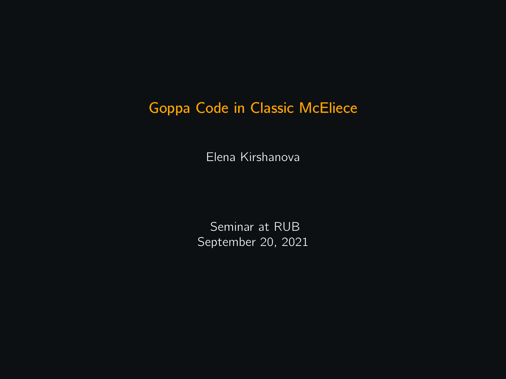### Goppa Code in Classic McEliece

Elena Kirshanova

Seminar at RUB September 20, 2021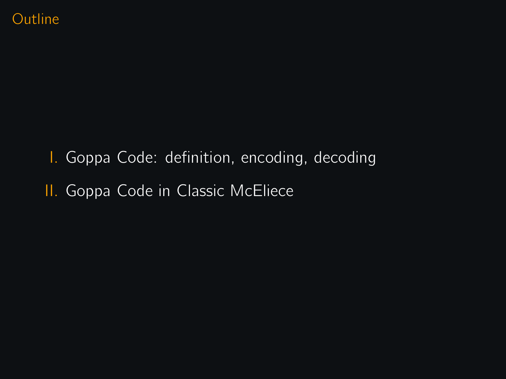I. Goppa Code: definition, encoding, decoding II. Goppa Code in Classic McEliece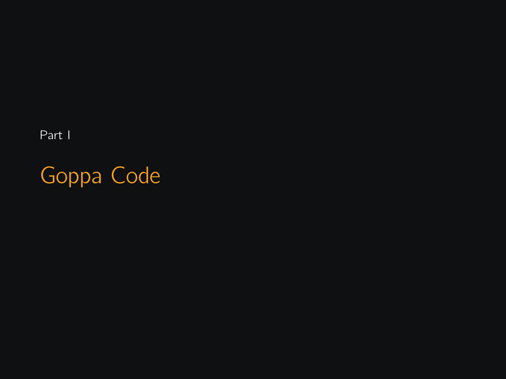Part I

Goppa Code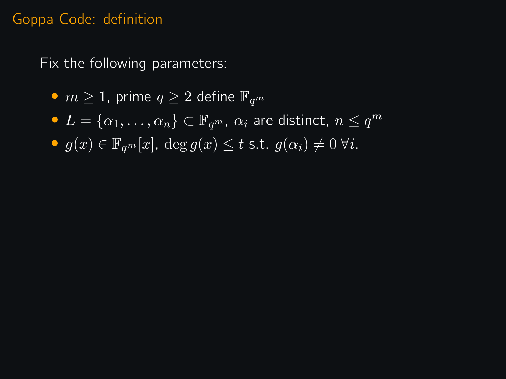#### Goppa Code: definition

Fix the following parameters:

- $m \geq 1$ , prime  $q \geq 2$  define  $\mathbb{F}_{q^m}$
- $\bullet$   $L = {\alpha_1, \ldots, \alpha_n} \subset \mathbb{F}_{q^m}$ ,  $\alpha_i$  are distinct,  $n \leq q^m$
- $g(x) \in \mathbb{F}_{q^m}[x]$ ,  $\deg g(x) \leq t$  s.t.  $g(\alpha_i) \neq 0$   $\forall i$ .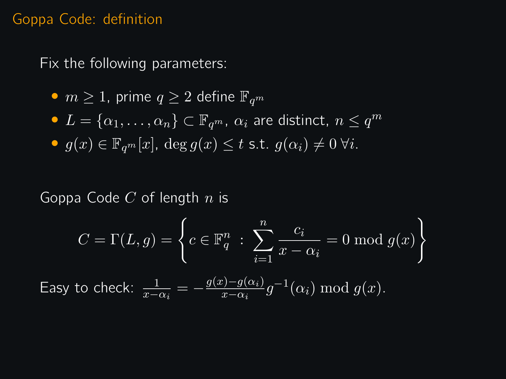#### Goppa Code: definition

Fix the following parameters:

\n- $$
m \geq 1
$$
, prime  $q \geq 2$  define  $\mathbb{F}_{q^m}$
\n- $L = \{\alpha_1, \ldots, \alpha_n\} \subset \mathbb{F}_{q^m}$ ,  $\alpha_i$  are distinct,  $n \leq q$
\n- $g(x) \in \mathbb{F}_{q^m}[x]$ , deg  $g(x) \leq t$  s.t.  $g(\alpha_i) \neq 0$   $\forall i$ .
\n

Goppa Code  $C$  of length  $n$  is

$$
C = \Gamma(L, g) = \left\{ c \in \mathbb{F}_q^n : \sum_{i=1}^n \frac{c_i}{x - \alpha_i} = 0 \mod g(x) \right\}
$$

 $\leq q^m$ 

Easy to check:  $\frac{1}{x-\alpha_i} = -\frac{g(x)-g(\alpha_i)}{x-\alpha_i}$  $rac{y-g(\alpha_i)}{x-\alpha_i}g$  $^{-1}(\alpha_i) \bmod g(x)$ .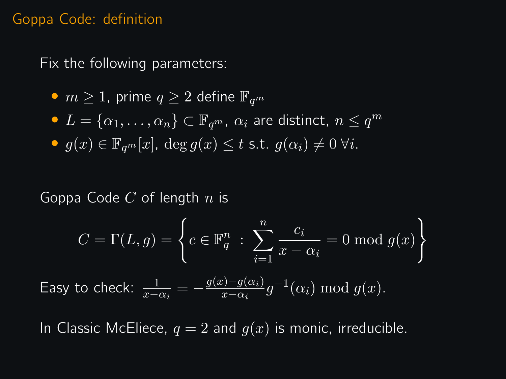#### Goppa Code: definition

Fix the following parameters:

\n- $$
m \geq 1
$$
, prime  $q \geq 2$  define  $\mathbb{F}_{q^m}$
\n- $L = \{\alpha_1, \ldots, \alpha_n\} \subset \mathbb{F}_{q^m}$ ,  $\alpha_i$  are distinct,  $n \leq q$
\n- $g(x) \in \mathbb{F}_{q^m}[x]$ , deg  $g(x) \leq t$  s.t.  $g(\alpha_i) \neq 0$   $\forall i$ .
\n

Goppa Code  $C$  of length  $n$  is

$$
C = \Gamma(L, g) = \left\{ c \in \mathbb{F}_q^n : \sum_{i=1}^n \frac{c_i}{x - \alpha_i} = 0 \mod g(x) \right\}
$$

m

Easy to check:  $\frac{1}{x-\alpha_i} = -\frac{g(x)-g(\alpha_i)}{x-\alpha_i}$  $\frac{g(x)-g(x_i)}{x-\alpha_i}g^{-1}(\alpha_i) \bmod g(x).$ 

In Classic McEliece,  $q = 2$  and  $q(x)$  is monic, irreducible.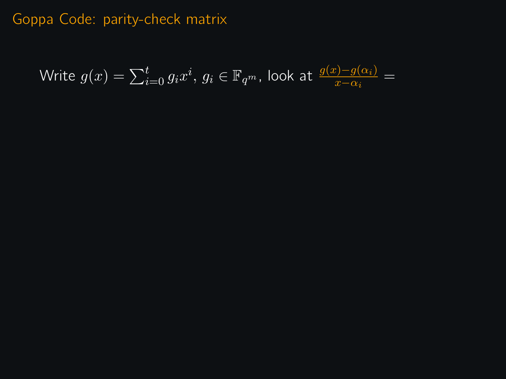Write  $g(x) = \sum_{i=0}^t g_i x^i, \, g_i \in \mathbb{F}_{q^m}$ , look at  $\frac{g(x)-g(\alpha_i)}{x-\alpha_i} = 0$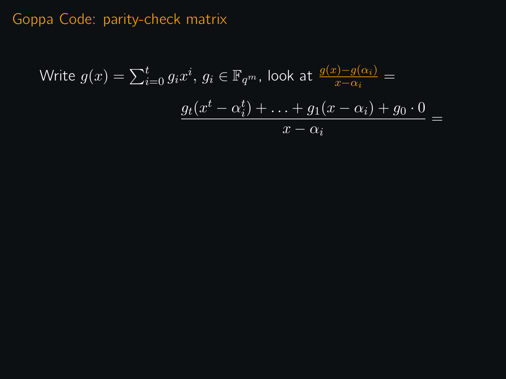Write 
$$
g(x) = \sum_{i=0}^{t} g_i x^i
$$
,  $g_i \in \mathbb{F}_{q^m}$ , look at  $\frac{g(x) - g(\alpha_i)}{x - \alpha_i} =$   

$$
\frac{g_t(x^t - \alpha_i^t) + \ldots + g_1(x - \alpha_i) + g_0 \cdot 0}{x - \alpha_i} =
$$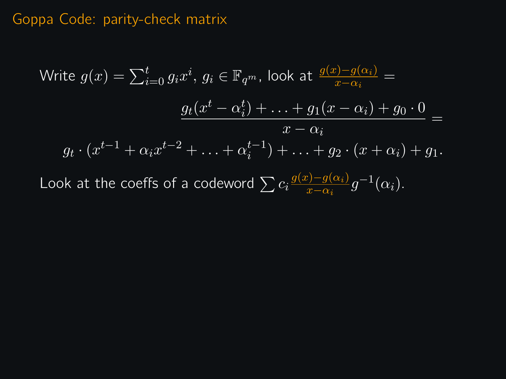Write 
$$
g(x) = \sum_{i=0}^{t} g_i x^i, g_i \in \mathbb{F}_{q^m}
$$
, look at 
$$
\frac{g(x) - g(\alpha_i)}{x - \alpha_i} =
$$

$$
\frac{g_t(x^t - \alpha_i^t) + \ldots + g_1(x - \alpha_i) + g_0 \cdot 0}{x - \alpha_i} =
$$

$$
g_t \cdot (x^{t-1} + \alpha_i x^{t-2} + \ldots + \alpha_i^{t-1}) + \ldots + g_2 \cdot (x + \alpha_i) + g_1.
$$
Look at the coefficients of a codeword 
$$
\sum c_i \frac{g(x) - g(\alpha_i)}{x - \alpha_i} g^{-1}(\alpha_i).
$$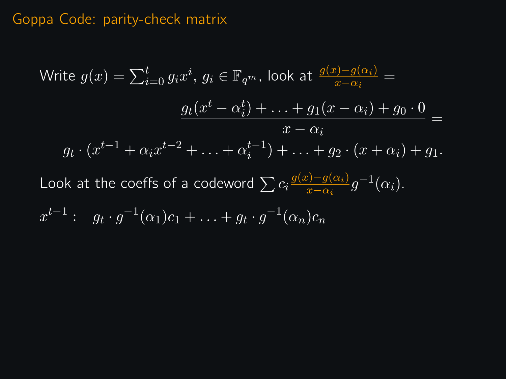Write 
$$
g(x) = \sum_{i=0}^{t} g_i x^i, g_i \in \mathbb{F}_{q^m}
$$
, look at 
$$
\frac{g(x) - g(\alpha_i)}{x - \alpha_i} =
$$

$$
\frac{g_t(x^t - \alpha_i^t) + \ldots + g_1(x - \alpha_i) + g_0 \cdot 0}{x - \alpha_i} =
$$

$$
g_t \cdot (x^{t-1} + \alpha_i x^{t-2} + \ldots + \alpha_i^{t-1}) + \ldots + g_2 \cdot (x + \alpha_i) + g_1.
$$
Look at the coefficients of a codeword 
$$
\sum c_i \frac{g(x) - g(\alpha_i)}{x - \alpha_i} g^{-1}(\alpha_i).
$$

$$
x^{t-1}: g_t \cdot g^{-1}(\alpha_1)c_1 + \ldots + g_t \cdot g^{-1}(\alpha_n)c_n
$$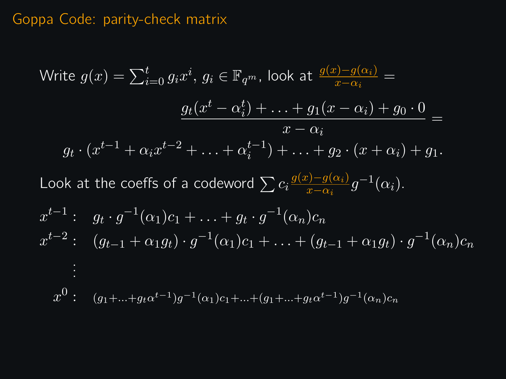Write 
$$
g(x) = \sum_{i=0}^{t} g_i x^i
$$
,  $g_i \in \mathbb{F}_{q^m}$ , look at  $\frac{g(x) - g(\alpha_i)}{x - \alpha_i} =$   
\n
$$
\frac{g_t(x^t - \alpha_i^t) + \ldots + g_1(x - \alpha_i) + g_0 \cdot 0}{x - \alpha_i} =
$$
\n
$$
g_t \cdot (x^{t-1} + \alpha_i x^{t-2} + \ldots + \alpha_i^{t-1}) + \ldots + g_2 \cdot (x + \alpha_i) + g_1.
$$
\nLook at the coefficients of a codeword  $\sum c_i \frac{g(x) - g(\alpha_i)}{x - \alpha_i} g^{-1}(\alpha_i).$   
\n
$$
x^{t-1} : g_t \cdot g^{-1}(\alpha_1)c_1 + \ldots + g_t \cdot g^{-1}(\alpha_n)c_n
$$
  
\n
$$
x^{t-2} : (g_{t-1} + \alpha_1 g_t) \cdot g^{-1}(\alpha_1)c_1 + \ldots + (g_{t-1} + \alpha_1 g_t) \cdot g^{-1}(\alpha_n)c_n
$$
  
\n
$$
\vdots
$$
  
\n
$$
x^0 : (g_1 + \ldots + g_t \alpha^{t-1})g^{-1}(\alpha_1)c_1 + \ldots + (g_1 + \ldots + g_t \alpha^{t-1})g^{-1}(\alpha_n)c_n
$$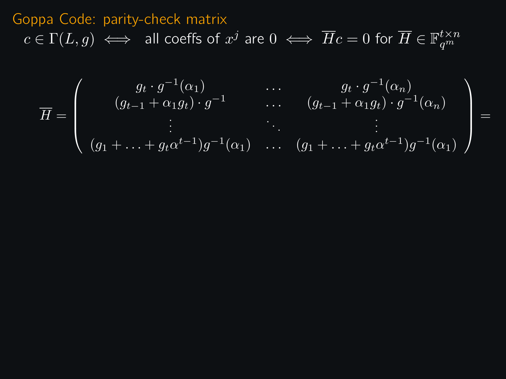# Goppa Code: parity-check matrix  $c\in \Gamma(L,g) \iff \;$  all coeffs of  $x^j$  are  $0 \iff \overline{H}c=0$  for  $\overline{H}\in \mathbb{F}_{q^m}^{t\times n}$

$$
\overline{H} = \left( \begin{array}{cccc} g_t \cdot g^{-1}(\alpha_1) & \cdots & g_t \cdot g^{-1}(\alpha_n) \\ (g_{t-1} + \alpha_1 g_t) \cdot g^{-1} & \cdots & (g_{t-1} + \alpha_1 g_t) \cdot g^{-1}(\alpha_n) \\ \vdots & \ddots & \vdots \\ (g_1 + \cdots + g_t \alpha^{t-1}) g^{-1}(\alpha_1) & \cdots & (g_1 + \cdots + g_t \alpha^{t-1}) g^{-1}(\alpha_1) \end{array} \right) =
$$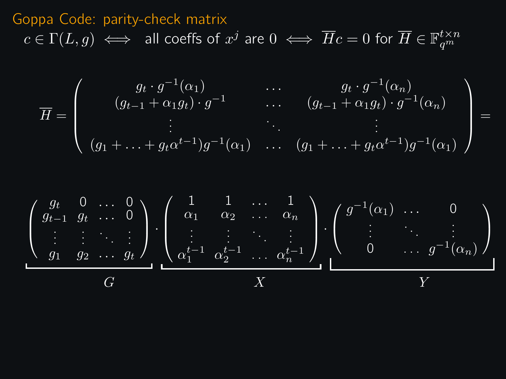### Goppa Code: parity-check matrix  $c\in \Gamma(L,g) \iff \;$  all coeffs of  $x^j$  are  $0 \iff \overline{H}c=0$  for  $\overline{H}\in \mathbb{F}_{q^m}^{t\times n}$

$$
\overline{H} = \left( \begin{array}{cccc} g_t \cdot g^{-1}(\alpha_1) & \cdots & g_t \cdot g^{-1}(\alpha_n) \\ (g_{t-1} + \alpha_1 g_t) \cdot g^{-1} & \cdots & (g_{t-1} + \alpha_1 g_t) \cdot g^{-1}(\alpha_n) \\ \vdots & \ddots & \vdots \\ (g_1 + \ldots + g_t \alpha^{t-1}) g^{-1}(\alpha_1) & \cdots & (g_1 + \ldots + g_t \alpha^{t-1}) g^{-1}(\alpha_1) \end{array} \right) =
$$

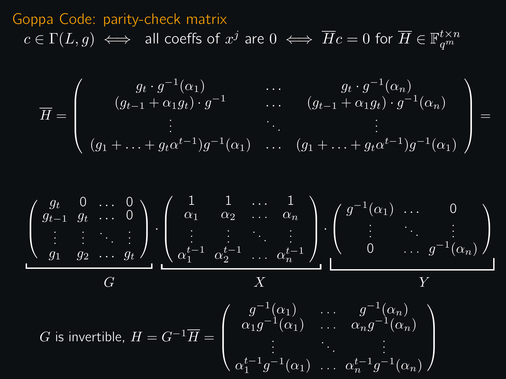# Goppa Code: parity-check matrix  $c\in \Gamma(L,g) \iff \;$  all coeffs of  $x^j$  are  $0 \iff \overline{H}c=0$  for  $\overline{H}\in \mathbb{F}_{q^m}^{t\times n}$

$$
\overline{H} = \left( \begin{array}{cccc} g_t \cdot g^{-1}(\alpha_1) & \cdots & g_t \cdot g^{-1}(\alpha_n) \\ (g_{t-1} + \alpha_1 g_t) \cdot g^{-1} & \cdots & (g_{t-1} + \alpha_1 g_t) \cdot g^{-1}(\alpha_n) \\ \vdots & \ddots & \vdots \\ (g_1 + \ldots + g_t \alpha^{t-1}) g^{-1}(\alpha_1) & \cdots & (g_1 + \ldots + g_t \alpha^{t-1}) g^{-1}(\alpha_1) \end{array} \right) =
$$

$$
\begin{pmatrix}\ng_t & 0 & \dots & 0 \\
g_{t-1} & g_t & \dots & 0 \\
\vdots & \vdots & \ddots & \vdots \\
g_1 & g_2 & \dots & g_t\n\end{pmatrix}\n\cdot\n\begin{pmatrix}\n1 & 1 & \dots & 1 \\
\alpha_1 & \alpha_2 & \dots & \alpha_n \\
\vdots & \vdots & \ddots & \vdots \\
\alpha_1^{t-1} & \alpha_2^{t-1} & \dots & \alpha_n^{t-1}\n\end{pmatrix}\n\cdot\n\begin{pmatrix}\ng^{-1}(\alpha_1) & \dots & 0 \\
\vdots & \ddots & \vdots \\
0 & \dots & g^{-1}(\alpha_n)\n\end{pmatrix}
$$
\n*G* is invertible,  $H = G^{-1}\overline{H} = \begin{pmatrix}\ng^{-1}(\alpha_1) & \dots & g^{-1}(\alpha_n) \\
\alpha_1g^{-1}(\alpha_1) & \dots & \alpha_ng^{-1}(\alpha_n) \\
\vdots & \ddots & \vdots \\
\alpha_1^{t-1}g^{-1}(\alpha_1) & \dots & \alpha_n^{t-1}g^{-1}(\alpha_n)\n\end{pmatrix}$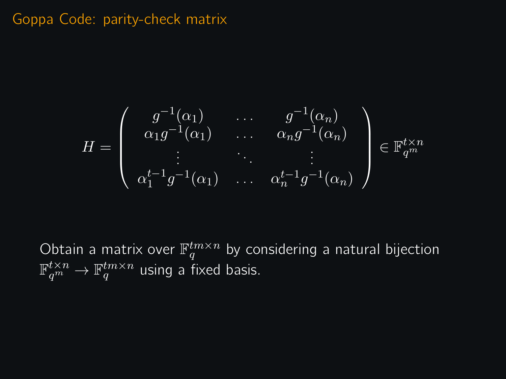$$
H = \left(\begin{array}{ccc} g^{-1}(\alpha_1) & \cdots & g^{-1}(\alpha_n) \\ \alpha_1 g^{-1}(\alpha_1) & \cdots & \alpha_n g^{-1}(\alpha_n) \\ \vdots & \ddots & \vdots \\ \alpha_1^{t-1} g^{-1}(\alpha_1) & \cdots & \alpha_n^{t-1} g^{-1}(\alpha_n) \end{array}\right) \in \mathbb{F}_{q^m}^{t \times n}
$$

Obtain a matrix over  $\mathbb{F}_q^{tm\times n}$  by considering a natural bijection  $\mathbb{F}_{q^m}^{t\times n}\to\mathbb{F}_q^{tm\times n}$  using a fixed basis.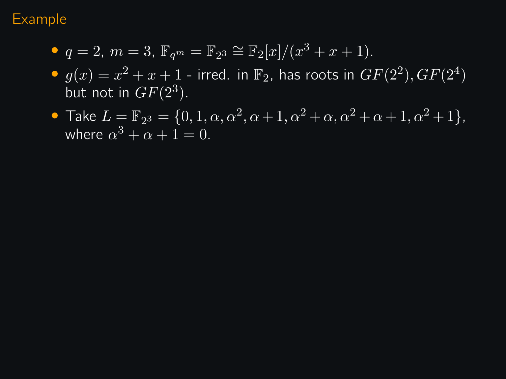#### Example

- $q = 2, m = 3, \mathbb{F}_{q^m} = \mathbb{F}_{2^3} \cong \mathbb{F}_2[x]/(x^3 + x + 1).$
- $g(x) = x^2 + x + 1$  irred. in  $\mathbb{F}_2$ , has roots in  $GF(2^2), GF(2^4)$ but not in  $GF(2^3)$ .
- Take  $L = \mathbb{F}_{2^3} = \{0, 1, \alpha, \alpha^2, \alpha + 1, \alpha^2 + \alpha, \alpha^2 + \alpha + 1, \alpha^2 + 1\},$ where  $\alpha^3 + \alpha + 1 = 0$ .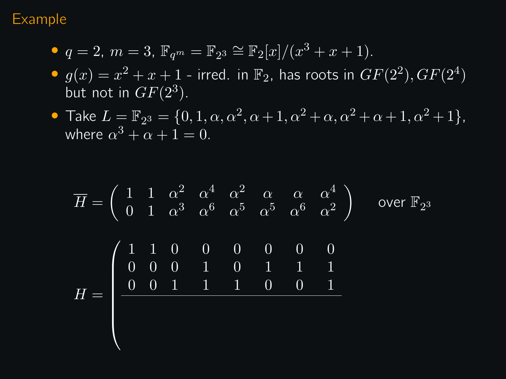#### Example

- $q = 2, m = 3, \mathbb{F}_{q^m} = \mathbb{F}_{2^3} \cong \mathbb{F}_2[x]/(x^3 + x + 1).$
- $g(x) = x^2 + x + 1$  irred. in  $\mathbb{F}_2$ , has roots in  $GF(2^2), GF(2^4)$ but not in  $GF(2^3)$ .
- Take  $L = \mathbb{F}_{2^3} = \{0, 1, \alpha, \alpha^2, \alpha + 1, \alpha^2 + \alpha, \alpha^2 + \alpha + 1, \alpha^2 + 1\},$ where  $\alpha^3 + \alpha + 1 = 0$ .

$$
\overline{H} = \begin{pmatrix} 1 & 1 & \alpha^2 & \alpha^4 & \alpha^2 & \alpha & \alpha & \alpha^4 \\ 0 & 1 & \alpha^3 & \alpha^6 & \alpha^5 & \alpha^5 & \alpha^6 & \alpha^2 \end{pmatrix} \text{ over } \mathbb{F}_{2^3}
$$

$$
H = \begin{pmatrix} 1 & 1 & 0 & 0 & 0 & 0 & 0 & 0 \\ 0 & 0 & 0 & 1 & 0 & 1 & 1 & 1 \\ 0 & 0 & 1 & 1 & 1 & 0 & 0 & 1 \\ 0 & 0 & 1 & 1 & 1 & 0 & 0 & 1 \end{pmatrix}
$$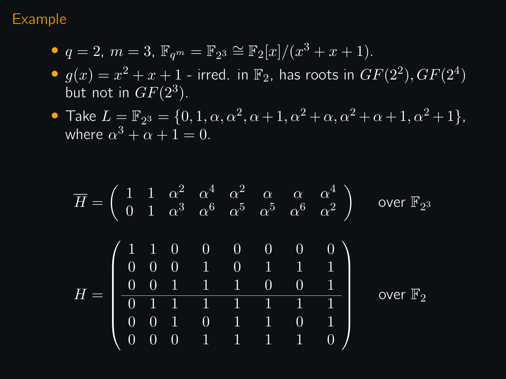#### Example

- $q = 2, m = 3, \mathbb{F}_{q^m} = \mathbb{F}_{2^3} \cong \mathbb{F}_2[x]/(x^3 + x + 1).$
- $g(x) = x^2 + x + 1$  irred. in  $\mathbb{F}_2$ , has roots in  $GF(2^2), GF(2^4)$ but not in  $GF(2^3)$ .
- Take  $L = \mathbb{F}_{2^3} = \{0, 1, \alpha, \alpha^2, \alpha + 1, \alpha^2 + \alpha, \alpha^2 + \alpha + 1, \alpha^2 + 1\},$ where  $\alpha^3 + \alpha + 1 = 0$ .

$$
\overline{H} = \begin{pmatrix}\n1 & 1 & \alpha^2 & \alpha^4 & \alpha^2 & \alpha & \alpha & \alpha^4 \\
0 & 1 & \alpha^3 & \alpha^6 & \alpha^5 & \alpha^5 & \alpha^6 & \alpha^2\n\end{pmatrix} \text{ over } \mathbb{F}_{2^3}
$$
\n
$$
H = \begin{pmatrix}\n1 & 1 & 0 & 0 & 0 & 0 & 0 & 0 \\
0 & 0 & 0 & 1 & 0 & 1 & 1 & 1 \\
0 & 0 & 1 & 1 & 1 & 0 & 0 & 1 \\
\hline\n0 & 1 & 1 & 1 & 1 & 1 & 1 & 1 \\
0 & 0 & 0 & 1 & 1 & 1 & 0 & 1 \\
0 & 0 & 0 & 1 & 1 & 1 & 1 & 0\n\end{pmatrix} \text{ over } \mathbb{F}_{2}
$$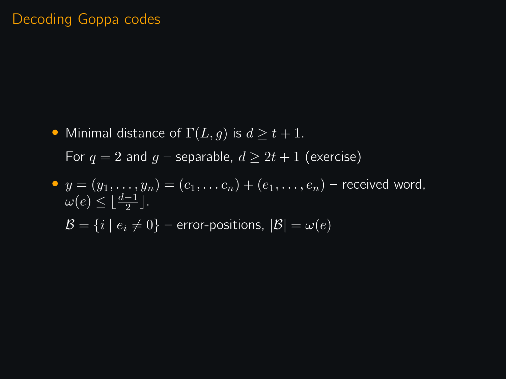#### Decoding Goppa codes

• Minimal distance of  $\Gamma(L, g)$  is  $d \ge t + 1$ . For  $q = 2$  and  $q$  – separable,  $d \geq 2t + 1$  (exercise)

\n- \n
$$
y = (y_1, \ldots, y_n) = (c_1, \ldots, c_n) + (e_1, \ldots, e_n)
$$
 - received word,  $\omega(e) \leq \lfloor \frac{d-1}{2} \rfloor$ .\n
\n- \n $\mathcal{B} = \{i \mid e_i \neq 0\}$  - error-positions,  $|\mathcal{B}| = \omega(e)$ \n
\n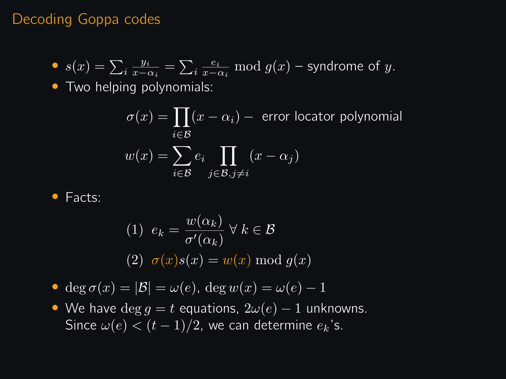#### Decoding Goppa codes

• 
$$
s(x) = \sum_i \frac{y_i}{x - \alpha_i} = \sum_i \frac{e_i}{x - \alpha_i} \mod g(x)
$$
 – syndrome of *y*.

• Two helping polynomials:

$$
\sigma(x) = \prod_{i \in \mathcal{B}} (x - \alpha_i) - \text{ error location polynomial}
$$

$$
w(x) = \sum_{i \in \mathcal{B}} e_i \prod_{j \in \mathcal{B}, j \neq i} (x - \alpha_j)
$$

$$
\bullet
$$
 Facts:

(1) 
$$
e_k = \frac{w(\alpha_k)}{\sigma'(\alpha_k)} \ \forall \ k \in \mathcal{B}
$$
  
(2)  $\sigma(x)s(x) = w(x) \mod g(x)$ 

• deg  $\sigma(x) = |\mathcal{B}| = \omega(e)$ , deg  $w(x) = \omega(e) - 1$ 

• We have  $\deg g = t$  equations,  $2\omega(e) - 1$  unknowns. Since  $\omega(e) < (t-1)/2$ , we can determine  $e_k$ 's.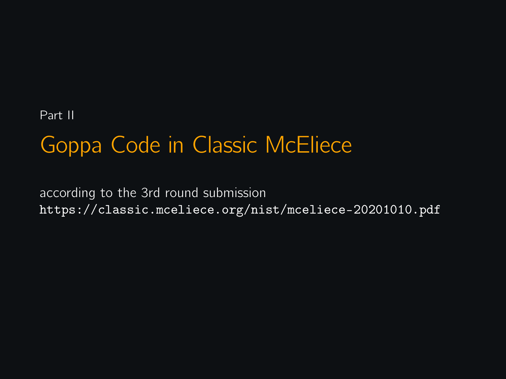Part II

# Goppa Code in Classic McEliece

according to the 3rd round submission <https://classic.mceliece.org/nist/mceliece-20201010.pdf>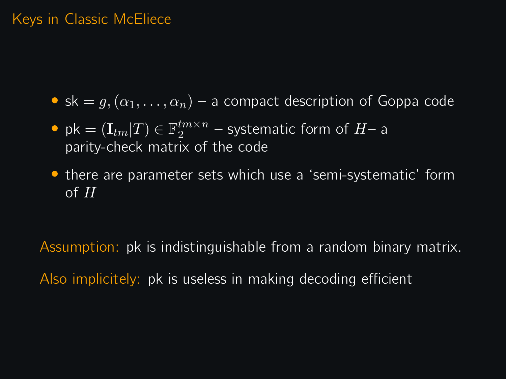#### Keys in Classic McEliece

- sk =  $g, (\alpha_1, \ldots, \alpha_n)$  a compact description of Goppa code
- pk =  $(\mathbf{I}_{tm}|T) \in \mathbb{F}_2^{tm \times n}$  systematic form of  $H$  a parity-check matrix of the code
- there are parameter sets which use a 'semi-systematic' form of  $H$

Assumption: pk is indistinguishable from a random binary matrix. Also implicitely: pk is useless in making decoding efficient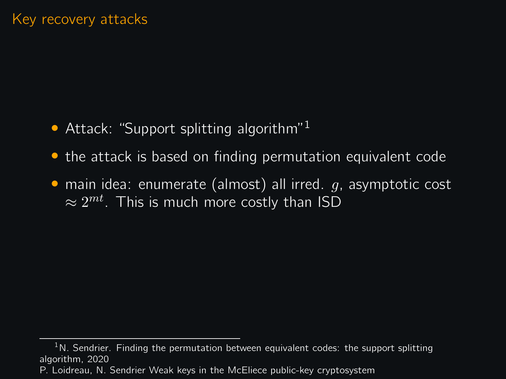- Attack: "Support splitting algorithm"<sup>1</sup>
- the attack is based on finding permutation equivalent code
- main idea: enumerate (almost) all irred.  $q$ , asymptotic cost  $\approx 2^{mt}$ . This is much more costly than ISD

 $1$ N. Sendrier. Finding the permutation between equivalent codes: the support splitting algorithm, 2020

P. Loidreau, N. Sendrier Weak keys in the McEliece public-key cryptosystem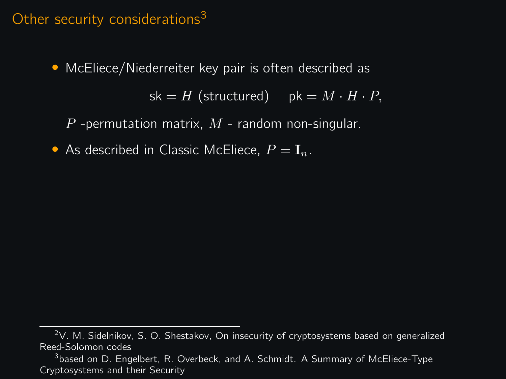#### Other security considerations<sup>3</sup>

• McEliece/Niederreiter key pair is often described as

 $sk = H$  (structured) pk =  $M \cdot H \cdot P$ ,

P -permutation matrix,  $M$  - random non-singular.

• As described in Classic McEliece,  $P = I_n$ .

 $2V$ . M. Sidelnikov, S. O. Shestakov, On insecurity of cryptosystems based on generalized Reed-Solomon codes

 $^3$ based on D. Engelbert, R. Overbeck, and A. Schmidt. A Summary of McEliece-Type Cryptosystems and their Security